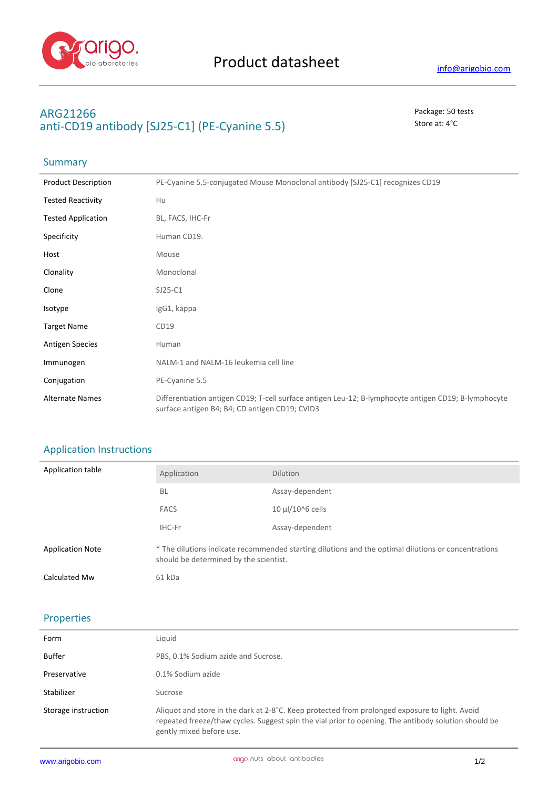

## **ARG21266** Package: 50 tests anti-CD19 antibody [SJ25-C1] (PE-Cyanine 5.5) Store at: 4<sup>°</sup>C

# Summary

| <b>Product Description</b> | PE-Cyanine 5.5-conjugated Mouse Monoclonal antibody [SJ25-C1] recognizes CD19                                                                          |  |
|----------------------------|--------------------------------------------------------------------------------------------------------------------------------------------------------|--|
| <b>Tested Reactivity</b>   | Hu                                                                                                                                                     |  |
| <b>Tested Application</b>  | BL, FACS, IHC-Fr                                                                                                                                       |  |
| Specificity                | Human CD19.                                                                                                                                            |  |
| Host                       | Mouse                                                                                                                                                  |  |
| Clonality                  | Monoclonal                                                                                                                                             |  |
| Clone                      | $SJ25-C1$                                                                                                                                              |  |
| Isotype                    | IgG1, kappa                                                                                                                                            |  |
| <b>Target Name</b>         | CD19                                                                                                                                                   |  |
| <b>Antigen Species</b>     | Human                                                                                                                                                  |  |
| Immunogen                  | NALM-1 and NALM-16 leukemia cell line                                                                                                                  |  |
| Conjugation                | PE-Cyanine 5.5                                                                                                                                         |  |
| <b>Alternate Names</b>     | Differentiation antigen CD19; T-cell surface antigen Leu-12; B-lymphocyte antigen CD19; B-lymphocyte<br>surface antigen B4; B4; CD antigen CD19; CVID3 |  |

### Application Instructions

| Application table       | Application                                                                                                                                   | <b>Dilution</b>       |
|-------------------------|-----------------------------------------------------------------------------------------------------------------------------------------------|-----------------------|
|                         | <b>BL</b>                                                                                                                                     | Assay-dependent       |
|                         | <b>FACS</b>                                                                                                                                   | $10 \mu$ l/10^6 cells |
|                         | IHC-Fr                                                                                                                                        | Assay-dependent       |
| <b>Application Note</b> | * The dilutions indicate recommended starting dilutions and the optimal dilutions or concentrations<br>should be determined by the scientist. |                       |
| Calculated Mw           | 61 kDa                                                                                                                                        |                       |

### Properties

| Form                | Liguid                                                                                                                                                                                                                             |
|---------------------|------------------------------------------------------------------------------------------------------------------------------------------------------------------------------------------------------------------------------------|
| Buffer              | PBS, 0.1% Sodium azide and Sucrose.                                                                                                                                                                                                |
| Preservative        | 0.1% Sodium azide                                                                                                                                                                                                                  |
| Stabilizer          | Sucrose                                                                                                                                                                                                                            |
| Storage instruction | Aliquot and store in the dark at 2-8°C. Keep protected from prolonged exposure to light. Avoid<br>repeated freeze/thaw cycles. Suggest spin the vial prior to opening. The antibody solution should be<br>gently mixed before use. |